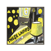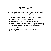## THESE LAMPS

all tracks Sue Lynch – Tenor Saxophone and Flute (track 3) Tracks 4 & 5 composed by Sue Lynch.

- **1. Swinging Bulb.** Hutch Demouilpied Trumpet
- **2. Gramme AC.** Jennifer Allum Violin
- **3. Arc.** Sharon Gal Vocals and Electronics
- **4. These Lamps.** Words written andperformed by Louise McFadden, Rosa Lynch Northover-Electric Piano
- **5. The Light House.** Ruth Marshall Violin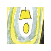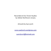Recorded at Oxo Tower Studios by Adrian Northover 2013/14

Artwork by Sue Lynch

[www.suelynch.wordpress.com](http://www.suelynch.wordpress.com/)

[sue10lynch@hotmail.com](mailto:sue10lynch@hotmail.com)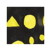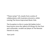"These Lamps" CD, results from a series of collaborations with musicians since2012, whilst running The Horse Improvised Music Club.

The Exception to this is Louise McFadden (who I have known since the 1980s) of B-Shops for the Poor and co/founder, vocalist sax player of The Remote Viewers to 2004.

-Sue Lynch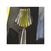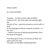## THESE LAMPS

by Louise McFadden

The gaze….its fishy rod into wild vermillion Unknown red – the fisher parts the looming night sky

Eternity of line – capricious presence, as the swift, at dusk

So we language ourselves; compute ourselves….in the mist….

…bathe in the dust of blackening phoenetics from the damp of the grass

That damp green knows no horizon; as flesh, into space, does not cling The pallor..at that light establishing itself !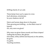Drifting shards of cut cold.

These lamps have such a space to cross Such aliveness, remoteness So your shadows tail off

Warm and human deep down in the grass Then growing and shifting…to the black trawl of heaven Oh, why were we given?

Why were we given these sounds and these shapes? Trailing like burdens, like ghosts One-sided, white, behind and beyond; to the aether, be gone. Us, gone. Touching nowhere.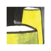